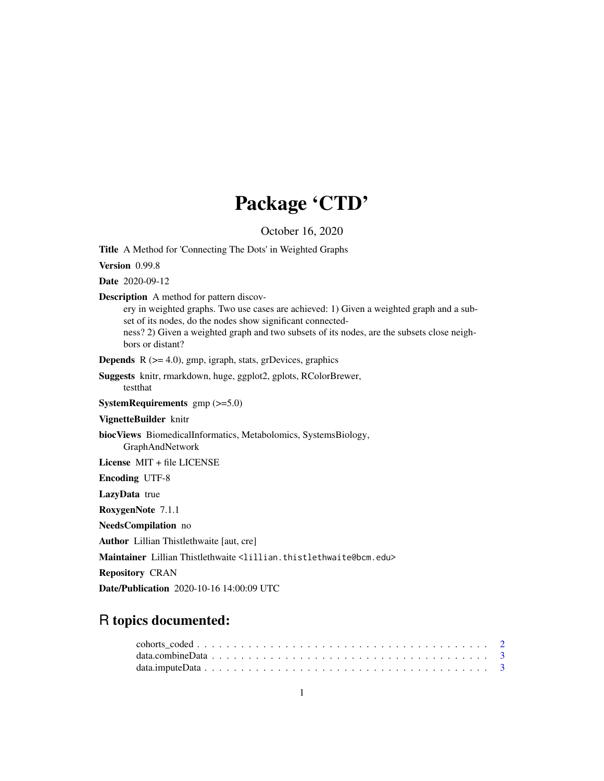## Package 'CTD'

October 16, 2020

Title A Method for 'Connecting The Dots' in Weighted Graphs

Version 0.99.8

Date 2020-09-12

Description A method for pattern discov-

ery in weighted graphs. Two use cases are achieved: 1) Given a weighted graph and a subset of its nodes, do the nodes show significant connected-

ness? 2) Given a weighted graph and two subsets of its nodes, are the subsets close neighbors or distant?

**Depends**  $R$  ( $>= 4.0$ ), gmp, igraph, stats, grDevices, graphics

Suggests knitr, rmarkdown, huge, ggplot2, gplots, RColorBrewer, testthat

SystemRequirements gmp (>=5.0)

VignetteBuilder knitr

biocViews BiomedicalInformatics, Metabolomics, SystemsBiology, GraphAndNetwork

License MIT + file LICENSE

Encoding UTF-8

LazyData true

RoxygenNote 7.1.1

NeedsCompilation no

Author Lillian Thistlethwaite [aut, cre]

Maintainer Lillian Thistlethwaite <lillian.thistlethwaite@bcm.edu>

Repository CRAN

Date/Publication 2020-10-16 14:00:09 UTC

### R topics documented: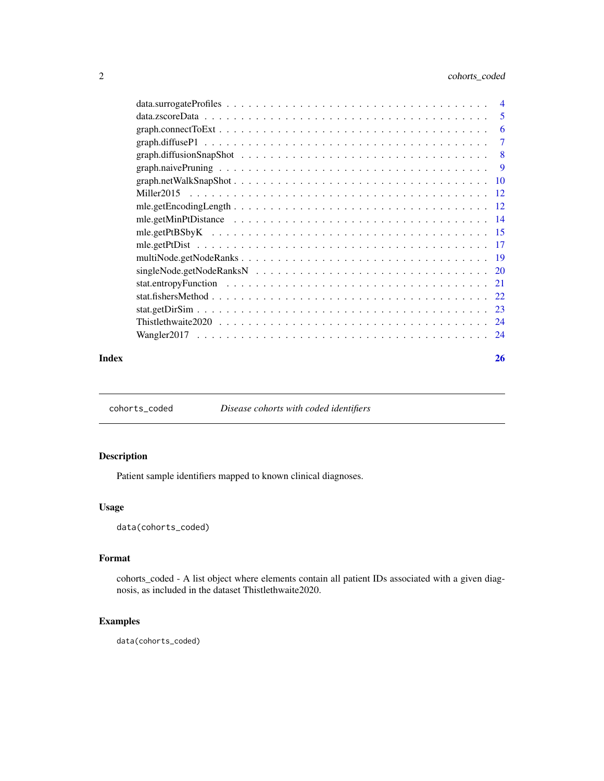### <span id="page-1-0"></span>2 cohorts\_coded

|       | -6     |
|-------|--------|
|       | $\tau$ |
|       |        |
|       |        |
|       |        |
|       |        |
|       |        |
|       |        |
|       |        |
|       |        |
|       |        |
|       |        |
|       |        |
|       |        |
|       |        |
|       |        |
|       |        |
|       |        |
| Index | 26     |

cohorts\_coded *Disease cohorts with coded identifiers*

#### Description

Patient sample identifiers mapped to known clinical diagnoses.

#### Usage

data(cohorts\_coded)

#### Format

cohorts\_coded - A list object where elements contain all patient IDs associated with a given diagnosis, as included in the dataset Thistlethwaite2020.

### Examples

data(cohorts\_coded)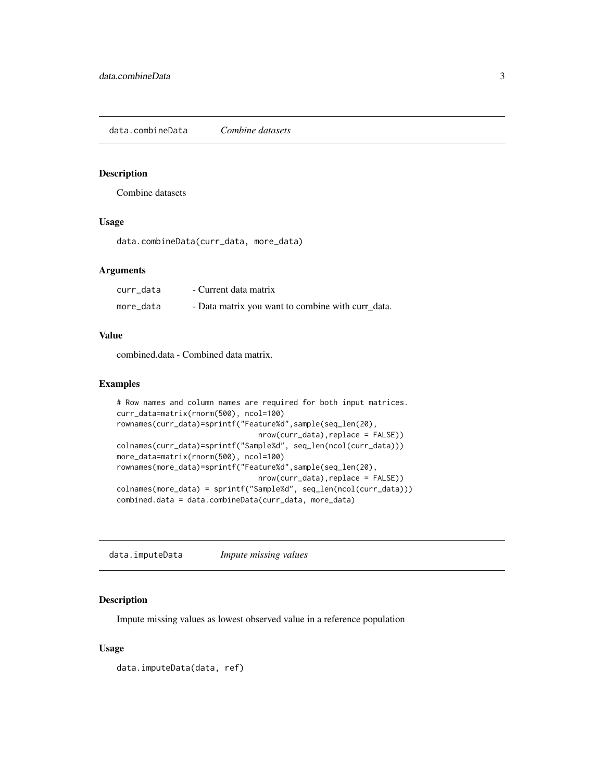<span id="page-2-0"></span>data.combineData *Combine datasets*

#### Description

Combine datasets

#### Usage

data.combineData(curr\_data, more\_data)

#### Arguments

| curr data | - Current data matrix                             |
|-----------|---------------------------------------------------|
| more_data | - Data matrix you want to combine with curr_data. |

#### Value

combined.data - Combined data matrix.

#### Examples

```
# Row names and column names are required for both input matrices.
curr_data=matrix(rnorm(500), ncol=100)
rownames(curr_data)=sprintf("Feature%d",sample(seq_len(20),
                                nrow(curr_data),replace = FALSE))
colnames(curr_data)=sprintf("Sample%d", seq_len(ncol(curr_data)))
more_data=matrix(rnorm(500), ncol=100)
rownames(more_data)=sprintf("Feature%d",sample(seq_len(20),
                                nrow(curr_data),replace = FALSE))
colnames(more_data) = sprintf("Sample%d", seq_len(ncol(curr_data)))
combined.data = data.combineData(curr_data, more_data)
```
data.imputeData *Impute missing values*

#### Description

Impute missing values as lowest observed value in a reference population

#### Usage

data.imputeData(data, ref)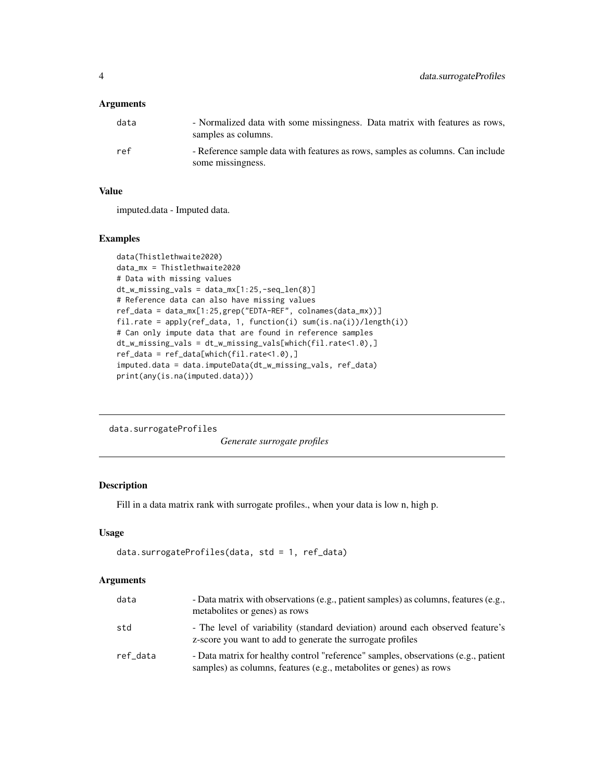#### <span id="page-3-0"></span>Arguments

| data | - Normalized data with some missingness. Data matrix with features as rows,<br>samples as columns.  |
|------|-----------------------------------------------------------------------------------------------------|
| ref  | - Reference sample data with features as rows, samples as columns. Can include<br>some missingness. |

#### Value

imputed.data - Imputed data.

#### Examples

```
data(Thistlethwaite2020)
data_mx = Thistlethwaite2020
# Data with missing values
dt_w_missing_vals = data_mx[1:25,-seq_len(8)]
# Reference data can also have missing values
ref_data = data_mx[1:25,grep("EDTA-REF", colnames(data_mx))]
fil.rate = apply(ref_data, 1, function(i) sum(is.na(i))/length(i))
# Can only impute data that are found in reference samples
dt_w_missing_vals = dt_w_missing_vals[which(fil.rate<1.0),]
ref\_data = ref\_data[which(fil.rate<1.0),]imputed.data = data.imputeData(dt_w_missing_vals, ref_data)
print(any(is.na(imputed.data)))
```
data.surrogateProfiles

*Generate surrogate profiles*

#### Description

Fill in a data matrix rank with surrogate profiles., when your data is low n, high p.

#### Usage

```
data.surrogateProfiles(data, std = 1, ref_data)
```
#### Arguments

| data     | - Data matrix with observations (e.g., patient samples) as columns, features (e.g.,<br>metabolites or genes) as rows                                     |
|----------|----------------------------------------------------------------------------------------------------------------------------------------------------------|
| std      | - The level of variability (standard deviation) around each observed feature's<br>z-score you want to add to generate the surrogate profiles             |
| ref_data | - Data matrix for healthy control "reference" samples, observations (e.g., patient<br>samples) as columns, features (e.g., metabolites or genes) as rows |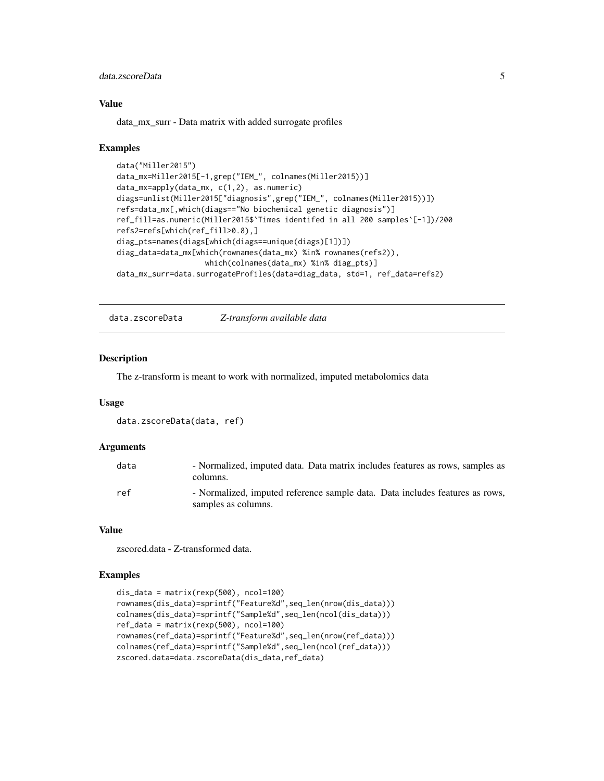#### <span id="page-4-0"></span>data.zscoreData 5

#### Value

data\_mx\_surr - Data matrix with added surrogate profiles

#### Examples

```
data("Miller2015")
data_mx=Miller2015[-1,grep("IEM_", colnames(Miller2015))]
data_mx=apply(data_mx, c(1,2), as.numeric)
diags=unlist(Miller2015["diagnosis",grep("IEM_", colnames(Miller2015))])
refs=data_mx[,which(diags=="No biochemical genetic diagnosis")]
ref_fill=as.numeric(Miller2015$`Times identifed in all 200 samples`[-1])/200
refs2=refs[which(ref_fill>0.8),]
diag_pts=names(diags[which(diags==unique(diags)[1])])
diag_data=data_mx[which(rownames(data_mx) %in% rownames(refs2)),
                    which(colnames(data_mx) %in% diag_pts)]
data_mx_surr=data.surrogateProfiles(data=diag_data, std=1, ref_data=refs2)
```
data.zscoreData *Z-transform available data*

#### Description

The z-transform is meant to work with normalized, imputed metabolomics data

#### Usage

```
data.zscoreData(data, ref)
```
#### Arguments

| data | - Normalized, imputed data. Data matrix includes features as rows, samples as<br>columns.           |
|------|-----------------------------------------------------------------------------------------------------|
| ref  | - Normalized, imputed reference sample data. Data includes features as rows,<br>samples as columns. |

#### Value

zscored.data - Z-transformed data.

```
dis_data = matrix(rexp(500), ncol=100)
rownames(dis_data)=sprintf("Feature%d",seq_len(nrow(dis_data)))
colnames(dis_data)=sprintf("Sample%d",seq_len(ncol(dis_data)))
ref_data = matrix(rexp(500), ncol=100)
rownames(ref_data)=sprintf("Feature%d",seq_len(nrow(ref_data)))
colnames(ref_data)=sprintf("Sample%d",seq_len(ncol(ref_data)))
zscored.data=data.zscoreData(dis_data,ref_data)
```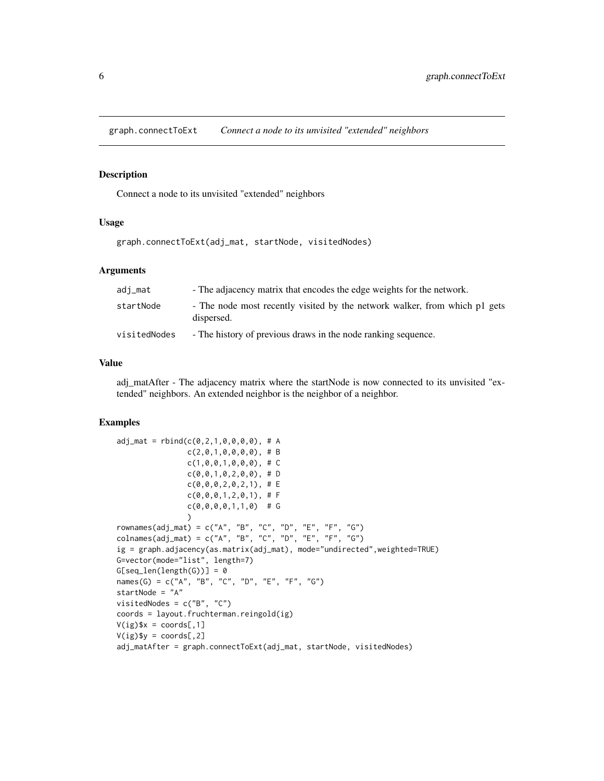<span id="page-5-0"></span>graph.connectToExt *Connect a node to its unvisited "extended" neighbors*

#### Description

Connect a node to its unvisited "extended" neighbors

#### Usage

```
graph.connectToExt(adj_mat, startNode, visitedNodes)
```
#### Arguments

| adj_mat      | - The adjacency matrix that encodes the edge weights for the network.                    |
|--------------|------------------------------------------------------------------------------------------|
| startNode    | - The node most recently visited by the network walker, from which p1 gets<br>dispersed. |
| visitedNodes | - The history of previous draws in the node ranking sequence.                            |

#### Value

adj matAfter - The adjacency matrix where the startNode is now connected to its unvisited "extended" neighbors. An extended neighbor is the neighbor of a neighbor.

```
adj\_mat = rbind(c(0, 2, 1, 0, 0, 0, 0), # Ac(2,0,1,0,0,0,0), # B
                   c(1, 0, 0, 1, 0, 0, 0), # C
                   c(\emptyset, \emptyset, 1, \emptyset, 2, \emptyset, \emptyset), # D
                   c(0,0,0,2,0,2,1),# E
                   c(\emptyset, \emptyset, \emptyset, 1, 2, \emptyset, 1), # F
                   c(\emptyset, \emptyset, \emptyset, \emptyset, 1, 1, \emptyset) # G
                   )
rownames(adj_mat) = c("A", "B", "C", "D", "E", "F", "G")
colnames(adj_mat) = c("A", "B", "C", "D", "E", "F", "G")ig = graph.adjacency(as.matrix(adj_mat), mode="undirected",weighted=TRUE)
G=vector(mode="list", length=7)
G[seq\_len(length(G))] = 0names(G) = c("A", "B", "C", "D", "E", "F", "G")startNode = "A"
visitedNodes = c("B", "C")
coords = layout.fruchterman.reingold(ig)
V(ig)$x = coords[,1]
V(ig)$y = coords[,2]
adj_matAfter = graph.connectToExt(adj_mat, startNode, visitedNodes)
```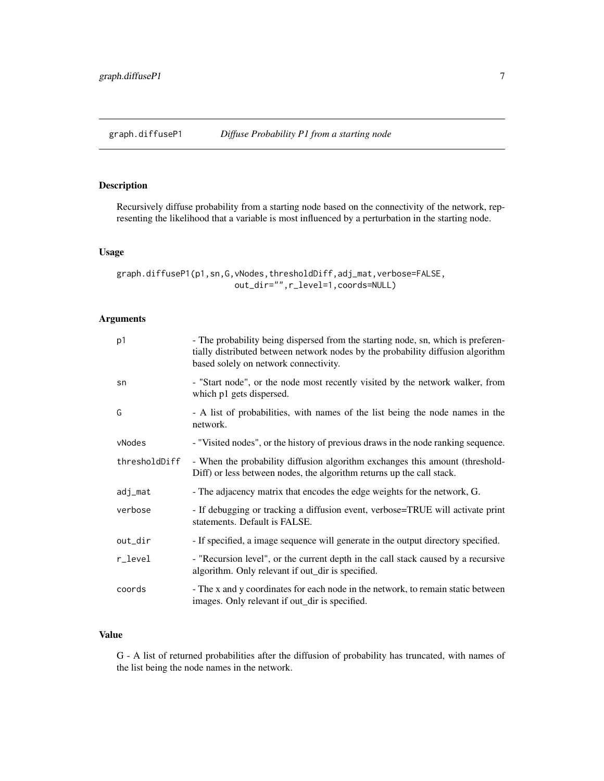<span id="page-6-0"></span>

#### Description

Recursively diffuse probability from a starting node based on the connectivity of the network, representing the likelihood that a variable is most influenced by a perturbation in the starting node.

#### Usage

```
graph.diffuseP1(p1,sn,G,vNodes,thresholdDiff,adj_mat,verbose=FALSE,
                        out_dir="",r_level=1,coords=NULL)
```
#### Arguments

| p <sub>1</sub> | - The probability being dispersed from the starting node, sn, which is preferen-<br>tially distributed between network nodes by the probability diffusion algorithm<br>based solely on network connectivity. |
|----------------|--------------------------------------------------------------------------------------------------------------------------------------------------------------------------------------------------------------|
| sn             | - "Start node", or the node most recently visited by the network walker, from<br>which p1 gets dispersed.                                                                                                    |
| G              | - A list of probabilities, with names of the list being the node names in the<br>network.                                                                                                                    |
| vNodes         | - "Visited nodes", or the history of previous draws in the node ranking sequence.                                                                                                                            |
| thresholdDiff  | - When the probability diffusion algorithm exchanges this amount (threshold-<br>Diff) or less between nodes, the algorithm returns up the call stack.                                                        |
| adj_mat        | - The adjacency matrix that encodes the edge weights for the network, G.                                                                                                                                     |
| verbose        | - If debugging or tracking a diffusion event, verbose=TRUE will activate print<br>statements. Default is FALSE.                                                                                              |
| out_dir        | - If specified, a image sequence will generate in the output directory specified.                                                                                                                            |
| r_level        | - "Recursion level", or the current depth in the call stack caused by a recursive<br>algorithm. Only relevant if out_dir is specified.                                                                       |
| coords         | - The x and y coordinates for each node in the network, to remain static between<br>images. Only relevant if out_dir is specified.                                                                           |

#### Value

G - A list of returned probabilities after the diffusion of probability has truncated, with names of the list being the node names in the network.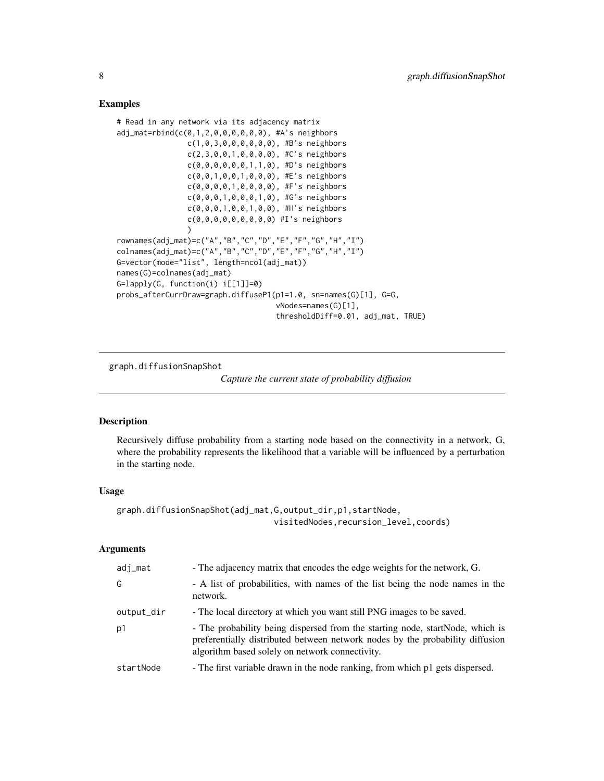#### Examples

```
# Read in any network via its adjacency matrix
adj_mat=rbind(c(0,1,2,0,0,0,0,0,0), #A's neighbors
                c(1,0,3,0,0,0,0,0,0), #B's neighbors
                c(2,3,0,0,1,0,0,0,0), #C's neighbors
                c(0,0,0,0,0,0,1,1,0), #D's neighbors
                c(0,0,1,0,0,1,0,0,0), #E's neighbors
                c(0,0,0,0,1,0,0,0,0), #F's neighbors
                c(0,0,0,1,0,0,0,1,0), #G's neighbors
                c(0,0,0,1,0,0,1,0,0), #H's neighbors
                c(0,0,0,0,0,0,0,0,0) #I's neighbors
                )
rownames(adj_mat)=c("A","B","C","D","E","F","G","H","I")
colnames(adj_mat)=c("A","B","C","D","E","F","G","H","I")
G=vector(mode="list", length=ncol(adj_mat))
names(G)=colnames(adj_mat)
G=lapply(G, function(i) i[[1]]=0)
probs_afterCurrDraw=graph.diffuseP1(p1=1.0, sn=names(G)[1], G=G,
                                    vNodes=names(G)[1],
                                    thresholdDiff=0.01, adj_mat, TRUE)
```
graph.diffusionSnapShot

*Capture the current state of probability diffusion*

#### Description

Recursively diffuse probability from a starting node based on the connectivity in a network, G, where the probability represents the likelihood that a variable will be influenced by a perturbation in the starting node.

#### Usage

```
graph.diffusionSnapShot(adj_mat,G,output_dir,p1,startNode,
                                visitedNodes,recursion_level,coords)
```
#### Arguments

| adj_mat    | - The adjacency matrix that encodes the edge weights for the network, G.                                                                                                                                          |
|------------|-------------------------------------------------------------------------------------------------------------------------------------------------------------------------------------------------------------------|
| G          | - A list of probabilities, with names of the list being the node names in the<br>network.                                                                                                                         |
| output_dir | - The local directory at which you want still PNG images to be saved.                                                                                                                                             |
| p1         | - The probability being dispersed from the starting node, startNode, which is<br>preferentially distributed between network nodes by the probability diffusion<br>algorithm based solely on network connectivity. |
| startNode  | - The first variable drawn in the node ranking, from which p1 gets dispersed.                                                                                                                                     |

<span id="page-7-0"></span>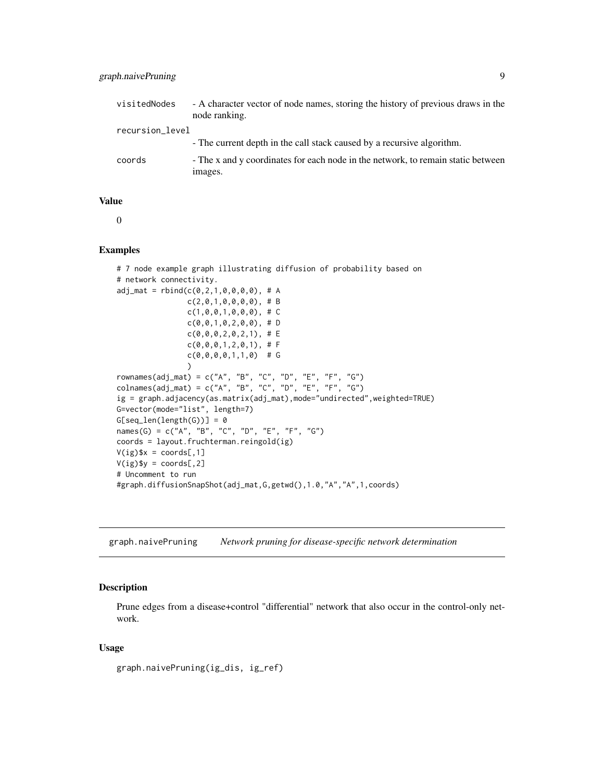<span id="page-8-0"></span>

| visitedNodes    | - A character vector of node names, storing the history of previous draws in the<br>node ranking. |
|-----------------|---------------------------------------------------------------------------------------------------|
| recursion_level |                                                                                                   |
|                 | - The current depth in the call stack caused by a recursive algorithm.                            |
| coords          | - The x and y coordinates for each node in the network, to remain static between<br>images.       |

#### Value

0

#### Examples

```
# 7 node example graph illustrating diffusion of probability based on
# network connectivity.
adj_mat = rbind(c(0, 2, 1, 0, 0, 0, 0), # Ac(2,0,1,0,0,0,0), # B
                   c(1, 0, 0, 1, 0, 0, 0), # C
                   c(\emptyset, \emptyset, 1, \emptyset, 2, \emptyset, \emptyset), # D
                   c(0,0,0,2,0,2,1),# E
                   c(\emptyset, \emptyset, \emptyset, 1, 2, \emptyset, 1), # F
                   c(\emptyset, \emptyset, \emptyset, \emptyset, 1, 1, \emptyset) # G
                   \lambdarownames(adj_mat) = c("A", "B", "C", "D", "E", "F", "G")
colnames(adj_mat) = c("A", "B", "C", "D", "E", "F", "G")ig = graph.adjacency(as.matrix(adj_mat),mode="undirected",weighted=TRUE)
G=vector(mode="list", length=7)
G[seq\_len(length(G))] = 0names(G) = c("A", "B", "C", "D", "E", "F", "G")
coords = layout.fruchterman.reingold(ig)
V(ig)$x = coords[,1]
V(ig)$y = coords[,2]
# Uncomment to run
#graph.diffusionSnapShot(adj_mat,G,getwd(),1.0,"A","A",1,coords)
```
graph.naivePruning *Network pruning for disease-specific network determination*

#### Description

Prune edges from a disease+control "differential" network that also occur in the control-only network.

#### Usage

```
graph.naivePruning(ig_dis, ig_ref)
```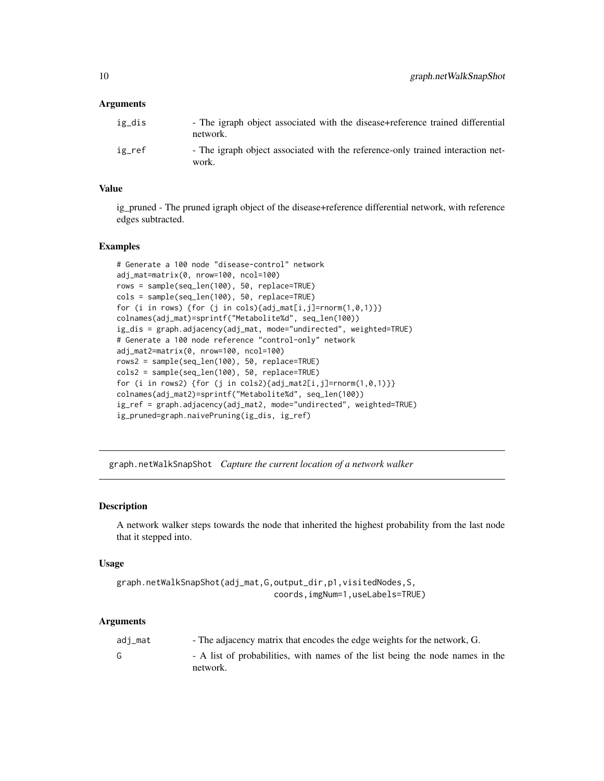#### <span id="page-9-0"></span>**Arguments**

| ig_dis | - The igraph object associated with the disease+reference trained differential<br>network. |
|--------|--------------------------------------------------------------------------------------------|
| ig_ref | - The igraph object associated with the reference-only trained interaction net-<br>work.   |

#### Value

ig pruned - The pruned igraph object of the disease+reference differential network, with reference edges subtracted.

#### **Examples**

```
# Generate a 100 node "disease-control" network
adj_mat=matrix(0, nrow=100, ncol=100)
rows = sample(seq_len(100), 50, replace=TRUE)
cols = sample(seq_len(100), 50, replace=TRUE)
for (i in rows) {for (j in cols){adj_mat[i,j]=rnorm(1,0,1)}}
colnames(adj_mat)=sprintf("Metabolite%d", seq_len(100))
ig_dis = graph.adjacency(adj_mat, mode="undirected", weighted=TRUE)
# Generate a 100 node reference "control-only" network
adj_mat2=matrix(0, nrow=100, ncol=100)
rows2 = sample(seq_len(100), 50, replace=TRUE)
cols2 = sample(seq_len(100), 50, replace=TRUE)
for (i in rows2) {for (j in cols2){adj_mat2[i,j]=rnorm(1,0,1)}}
colnames(adj_mat2)=sprintf("Metabolite%d", seq_len(100))
ig_ref = graph.adjacency(adj_mat2, mode="undirected", weighted=TRUE)
ig_pruned=graph.naivePruning(ig_dis, ig_ref)
```
graph.netWalkSnapShot *Capture the current location of a network walker*

#### Description

A network walker steps towards the node that inherited the highest probability from the last node that it stepped into.

#### Usage

```
graph.netWalkSnapShot(adj_mat,G,output_dir,p1,visitedNodes,S,
                                coords,imgNum=1,useLabels=TRUE)
```
#### Arguments

| adi_mat | - The adjacency matrix that encodes the edge weights for the network, G.                  |
|---------|-------------------------------------------------------------------------------------------|
|         | - A list of probabilities, with names of the list being the node names in the<br>network. |
|         |                                                                                           |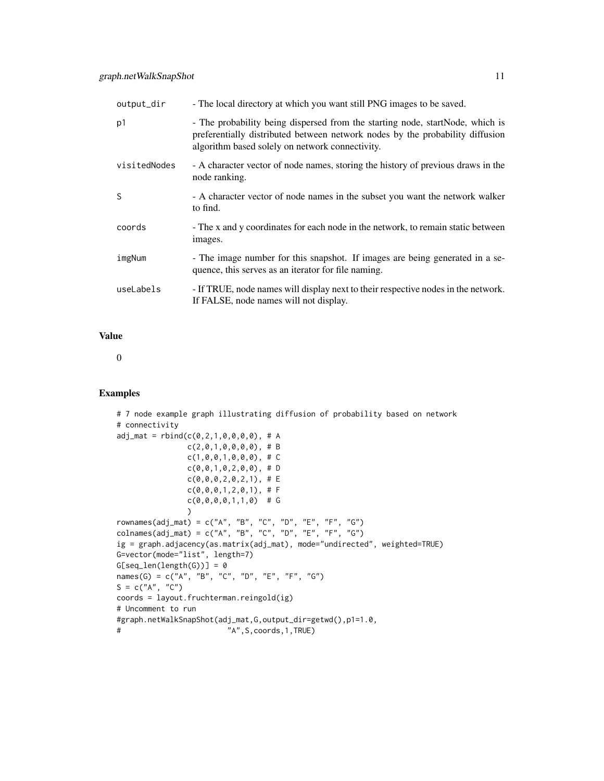| output_dir   | - The local directory at which you want still PNG images to be saved.                                                                                                                                             |
|--------------|-------------------------------------------------------------------------------------------------------------------------------------------------------------------------------------------------------------------|
| p1           | - The probability being dispersed from the starting node, startNode, which is<br>preferentially distributed between network nodes by the probability diffusion<br>algorithm based solely on network connectivity. |
| visitedNodes | - A character vector of node names, storing the history of previous draws in the<br>node ranking.                                                                                                                 |
| S            | - A character vector of node names in the subset you want the network walker<br>to find.                                                                                                                          |
| coords       | - The x and y coordinates for each node in the network, to remain static between<br>images.                                                                                                                       |
| imgNum       | - The image number for this snapshot. If images are being generated in a se-<br>quence, this serves as an iterator for file naming.                                                                               |
| useLabels    | - If TRUE, node names will display next to their respective nodes in the network.<br>If FALSE, node names will not display.                                                                                       |

#### Value

0

```
# 7 node example graph illustrating diffusion of probability based on network
# connectivity
adj_mat = rbind(c(0, 2, 1, 0, 0, 0, 0), # Ac(2,0,1,0,0,0,0), # B
                  c(1, 0, 0, 1, 0, 0, 0), # C
                  c(\emptyset, \emptyset, 1, \emptyset, 2, \emptyset, \emptyset), # D
                  c(\emptyset, \emptyset, \emptyset, 2, \emptyset, 2, 1), # E
                  c(0,0,0,1,2,0,1), # F
                  c(\emptyset, \emptyset, \emptyset, \emptyset, 1, 1, \emptyset) # G
                  \lambdarownames(adj_mat) = c("A", "B", "C", "D", "E", "F", "G")
colnames(adj_mat) = c("A", "B", "C", "D", "E", "F", "G")
ig = graph.adjacency(as.matrix(adj_mat), mode="undirected", weighted=TRUE)
G=vector(mode="list", length=7)
G[seq\_len(length(G))] = 0names(G) = c("A", "B", "C", "D", "E", "F", "G")
S = c("A", "C")coords = layout.fruchterman.reingold(ig)
# Uncomment to run
#graph.netWalkSnapShot(adj_mat,G,output_dir=getwd(),p1=1.0,
# "A",S,coords,1,TRUE)
```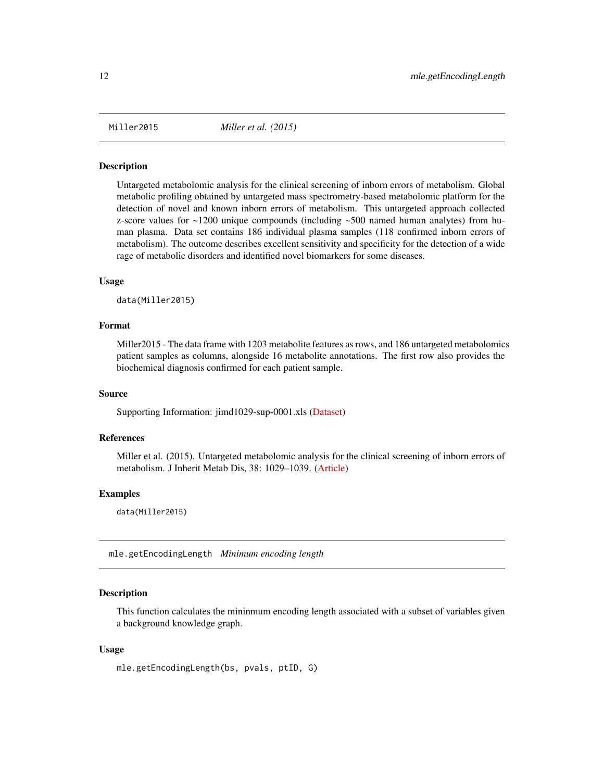<span id="page-11-0"></span>

#### **Description**

Untargeted metabolomic analysis for the clinical screening of inborn errors of metabolism. Global metabolic profiling obtained by untargeted mass spectrometry-based metabolomic platform for the detection of novel and known inborn errors of metabolism. This untargeted approach collected z-score values for  $\sim$ 1200 unique compounds (including  $\sim$ 500 named human analytes) from human plasma. Data set contains 186 individual plasma samples (118 confirmed inborn errors of metabolism). The outcome describes excellent sensitivity and specificity for the detection of a wide rage of metabolic disorders and identified novel biomarkers for some diseases.

#### Usage

data(Miller2015)

#### Format

Miller2015 - The data frame with 1203 metabolite features as rows, and 186 untargeted metabolomics patient samples as columns, alongside 16 metabolite annotations. The first row also provides the biochemical diagnosis confirmed for each patient sample.

#### Source

Supporting Information: jimd1029-sup-0001.xls [\(Dataset\)](https://tinyurl.com/yypsbghe)

#### References

Miller et al. (2015). Untargeted metabolomic analysis for the clinical screening of inborn errors of metabolism. J Inherit Metab Dis, 38: 1029–1039. [\(Article\)](https://doi.org/10.1007/s10545-015-9843-7)

#### Examples

data(Miller2015)

mle.getEncodingLength *Minimum encoding length*

#### **Description**

This function calculates the mininmum encoding length associated with a subset of variables given a background knowledge graph.

#### Usage

```
mle.getEncodingLength(bs, pvals, ptID, G)
```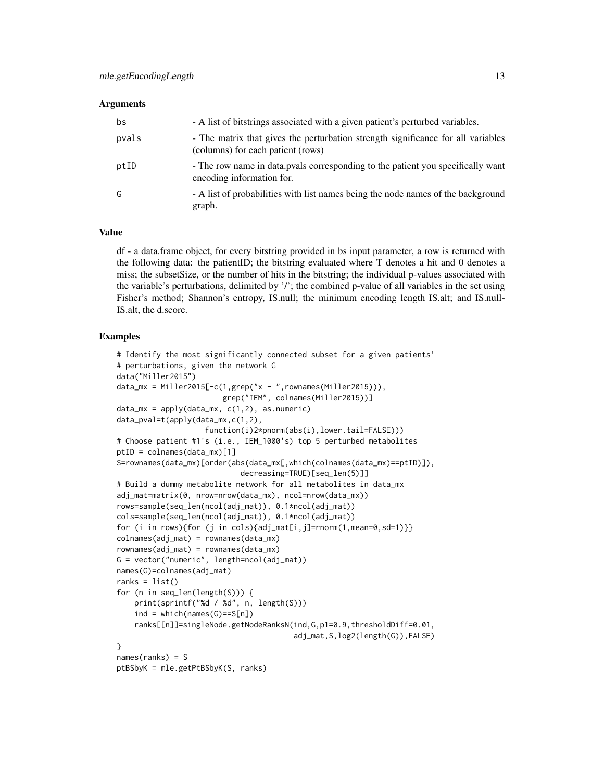#### Arguments

| bs    | - A list of bitstrings associated with a given patient's perturbed variables.                                         |
|-------|-----------------------------------------------------------------------------------------------------------------------|
| pvals | - The matrix that gives the perturbation strength significance for all variables<br>(columns) for each patient (rows) |
| ptID  | - The row name in data. pvals corresponding to the patient you specifically want<br>encoding information for.         |
| G     | - A list of probabilities with list names being the node names of the background<br>graph.                            |

#### Value

df - a data.frame object, for every bitstring provided in bs input parameter, a row is returned with the following data: the patientID; the bitstring evaluated where T denotes a hit and 0 denotes a miss; the subsetSize, or the number of hits in the bitstring; the individual p-values associated with the variable's perturbations, delimited by '/'; the combined p-value of all variables in the set using Fisher's method; Shannon's entropy, IS.null; the minimum encoding length IS.alt; and IS.null-IS.alt, the d.score.

```
# Identify the most significantly connected subset for a given patients'
# perturbations, given the network G
data("Miller2015")
data_mx = Miller2015[-c(1,grep("x - ",rownames(Miller2015))),
                        grep("IEM", colnames(Miller2015))]
data_m x = apply(data_m x, c(1,2), as.numeric)data_pval=t(apply(data_mx,c(1,2),
                    function(i)2*pnorm(abs(i),lower.tail=FALSE)))
# Choose patient #1's (i.e., IEM_1000's) top 5 perturbed metabolites
ptID = colnames(data_mx)[1]
S=rownames(data_mx)[order(abs(data_mx[,which(colnames(data_mx)==ptID)]),
                            decreasing=TRUE)[seq_len(5)]]
# Build a dummy metabolite network for all metabolites in data_mx
adj_mat=matrix(0, nrow=nrow(data_mx), ncol=nrow(data_mx))
rows=sample(seq_len(ncol(adj_mat)), 0.1*ncol(adj_mat))
cols=sample(seq_len(ncol(adj_mat)), 0.1*ncol(adj_mat))
for (i in rows){for (j in cols){adj_mat[i,j]=rnorm(1,mean=0,sd=1)}}
colnames(adj_mat) = rownames(data_mx)
rownames(adj_mat) = rownames(data_mx)
G = vector("numeric", length=ncol(adj_matrix))names(G)=colnames(adj_mat)
ranks = list()for (n in seq_len(length(S))) {
    print(sprintf("%d / %d", n, length(S)))
    ind = which(names(G)=S[n])ranks[[n]]=singleNode.getNodeRanksN(ind,G,p1=0.9,thresholdDiff=0.01,
                                        adj_mat,S,log2(length(G)),FALSE)
}
names(ranks) = S
ptBSbyK = mle.getPtBSbyK(S, ranks)
```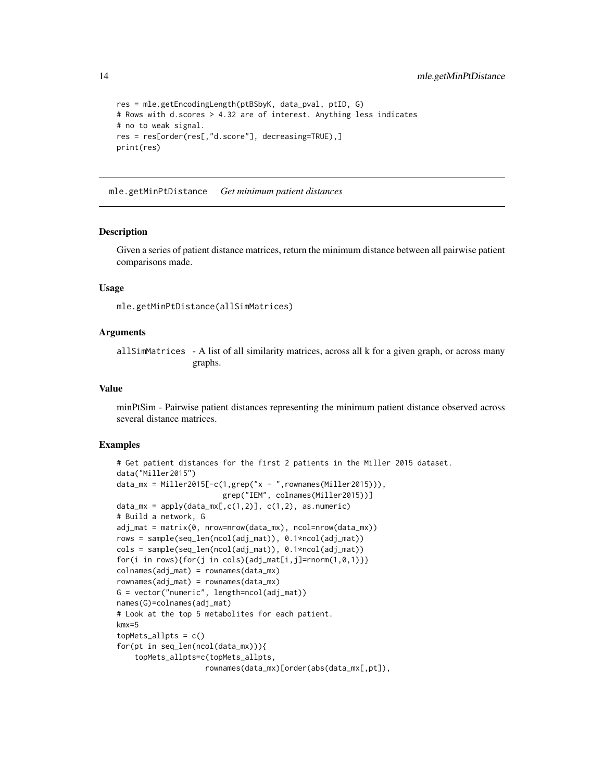```
res = mle.getEncodingLength(ptBSbyK, data_pval, ptID, G)
# Rows with d.scores > 4.32 are of interest. Anything less indicates
# no to weak signal.
res = res[order(res[,"d.score"], decreasing=TRUE),]
print(res)
```
mle.getMinPtDistance *Get minimum patient distances*

#### Description

Given a series of patient distance matrices, return the minimum distance between all pairwise patient comparisons made.

#### Usage

```
mle.getMinPtDistance(allSimMatrices)
```
#### Arguments

allSimMatrices - A list of all similarity matrices, across all k for a given graph, or across many graphs.

#### Value

minPtSim - Pairwise patient distances representing the minimum patient distance observed across several distance matrices.

```
# Get patient distances for the first 2 patients in the Miller 2015 dataset.
data("Miller2015")
data_mx = Miller2015[-c(1,grep("x - ",rownames(Miller2015))),grep("IEM", colnames(Miller2015))]
data_mx = apply(data_mx[, c(1,2)], c(1,2), as.numeric)# Build a network, G
adj_mat = matrix(0, nrow=nrow(data_mx), ncol=nrow(data_mx))
rows = sample(seq_len(ncol(adj_mat)), 0.1*ncol(adj_mat))
cols = sample(seq_len(ncol(adj_mat)), 0.1*ncol(adj_mat))
for(i in rows){for(j in cols){adj_mat[i,j]=rnorm(1,0,1)}}
colnames(adj_mat) = rownames(data_mx)
rownames(adj_mat) = rownames(data_mx)
G = vector("numeric", length=ncol(adj_mat))
names(G)=colnames(adj_mat)
# Look at the top 5 metabolites for each patient.
kmx=5
topMets_allpts = c()for(pt in seq_len(ncol(data_mx))){
    topMets_allpts=c(topMets_allpts,
                    rownames(data_mx)[order(abs(data_mx[,pt]),
```
<span id="page-13-0"></span>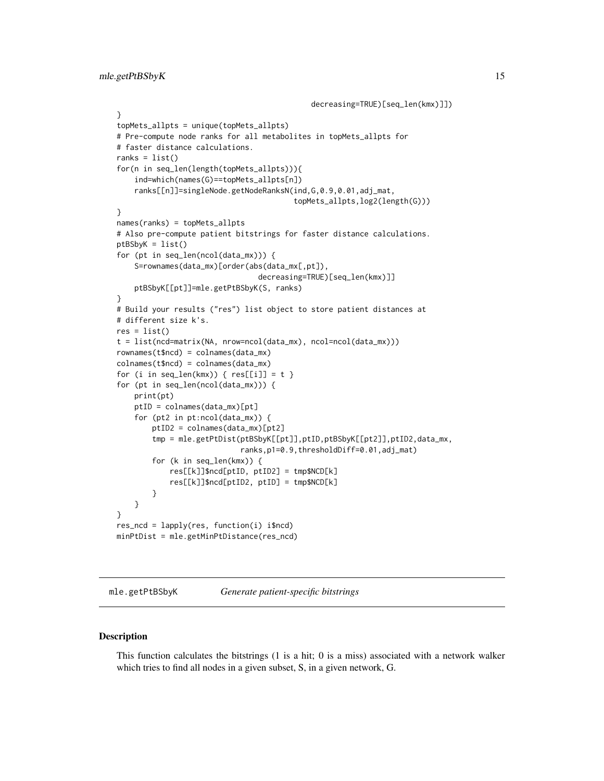```
decreasing=TRUE)[seq_len(kmx)]])
}
topMets_allpts = unique(topMets_allpts)
# Pre-compute node ranks for all metabolites in topMets_allpts for
# faster distance calculations.
ranks = list()for(n in seq_len(length(topMets_allpts))){
    ind=which(names(G)==topMets_allpts[n])
    ranks[[n]]=singleNode.getNodeRanksN(ind,G,0.9,0.01,adj_mat,
                                        topMets_allpts,log2(length(G)))
}
names(ranks) = topMets_allpts
# Also pre-compute patient bitstrings for faster distance calculations.
ptBSbyK = list()
for (pt in seq_len(ncol(data_mx))) {
    S=rownames(data_mx)[order(abs(data_mx[,pt]),
                                decreasing=TRUE)[seq_len(kmx)]]
   ptBSbyK[[pt]]=mle.getPtBSbyK(S, ranks)
}
# Build your results ("res") list object to store patient distances at
# different size k's.
res = list()t = list(ncd=matrix(NA, nrow=ncol(data_mx), ncol=ncol(data_mx)))
rownames(t$ncd) = colnames(data_mx)
colnames(t$ncd) = colnames(data_mx)
for (i in seq_len(kmx)) { res[[i]] = t }
for (pt in seq_len(ncol(data_mx))) {
   print(pt)
   ptID = colnames(data_mx)[pt]
    for (pt2 in pt:ncol(data_mx)) {
        ptID2 = colnames(data_mx)[pt2]
        tmp = mle.getPtDist(ptBSbyK[[pt]],ptID,ptBSbyK[[pt2]],ptID2,data_mx,
                            ranks,p1=0.9,thresholdDiff=0.01,adj_mat)
        for (k in seq_len(kmx)) {
            res[[k]]$ncd[ptID, ptID2] = tmp$NCD[k]
            res[[k]]$ncd[ptID2, ptID] = tmp$NCD[k]
        }
    }
}
res_ncd = lapply(res, function(i) i$ncd)
minPtDist = mle.getMinPtDistance(res_ncd)
```
mle.getPtBSbyK *Generate patient-specific bitstrings*

#### Description

This function calculates the bitstrings (1 is a hit; 0 is a miss) associated with a network walker which tries to find all nodes in a given subset, S, in a given network, G.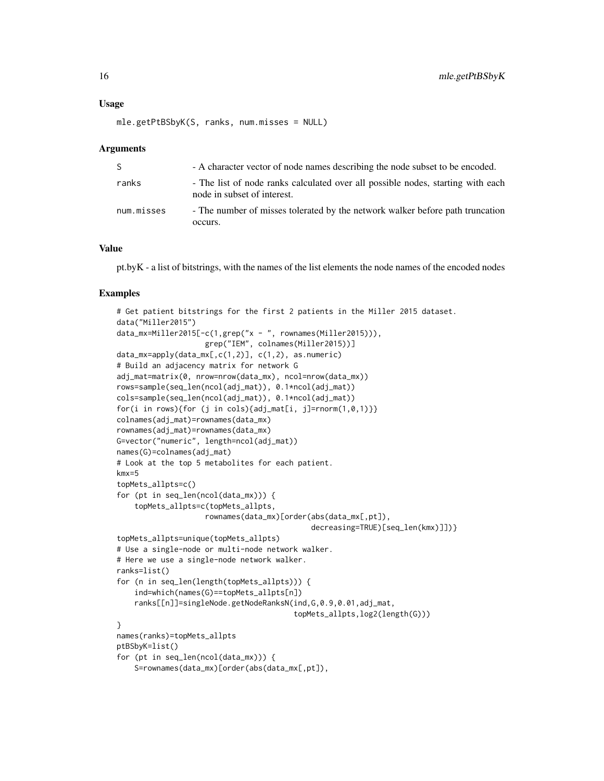#### Usage

```
mle.getPtBSbyK(S, ranks, num.misses = NULL)
```
#### Arguments

| S.         | - A character vector of node names describing the node subset to be encoded.                                   |
|------------|----------------------------------------------------------------------------------------------------------------|
| ranks      | - The list of node ranks calculated over all possible nodes, starting with each<br>node in subset of interest. |
| num.misses | - The number of misses tolerated by the network walker before path truncation<br>occurs.                       |

#### Value

pt.byK - a list of bitstrings, with the names of the list elements the node names of the encoded nodes

```
# Get patient bitstrings for the first 2 patients in the Miller 2015 dataset.
data("Miller2015")
data_mx=Miller2015[-c(1,grep("x - ", rownames(Miller2015))),
                    grep("IEM", colnames(Miller2015))]
data_mx=apply(data_mx[,c(1,2)], c(1,2), as.numeric)
# Build an adjacency matrix for network G
adj_mat=matrix(0, nrow=nrow(data_mx), ncol=nrow(data_mx))
rows=sample(seq_len(ncol(adj_mat)), 0.1*ncol(adj_mat))
cols=sample(seq_len(ncol(adj_mat)), 0.1*ncol(adj_mat))
for(i in rows){for (j in cols){adj_mat[i, j]=rnorm(1,0,1)}}
colnames(adj_mat)=rownames(data_mx)
rownames(adj_mat)=rownames(data_mx)
G=vector("numeric", length=ncol(adj_mat))
names(G)=colnames(adj_mat)
# Look at the top 5 metabolites for each patient.
kmx=5
topMets_allpts=c()
for (pt in seq_len(ncol(data_mx))) {
    topMets_allpts=c(topMets_allpts,
                    rownames(data_mx)[order(abs(data_mx[,pt]),
                                            decreasing=TRUE)[seq_len(kmx)]])}
topMets_allpts=unique(topMets_allpts)
# Use a single-node or multi-node network walker.
# Here we use a single-node network walker.
ranks=list()
for (n in seq_len(length(topMets_allpts))) {
    ind=which(names(G)==topMets_allpts[n])
    ranks[[n]]=singleNode.getNodeRanksN(ind,G,0.9,0.01,adj_mat,
                                        topMets_allpts,log2(length(G)))
}
names(ranks)=topMets_allpts
ptBSbyK=list()
for (pt in seq_len(ncol(data_mx))) {
    S=rownames(data_mx)[order(abs(data_mx[,pt]),
```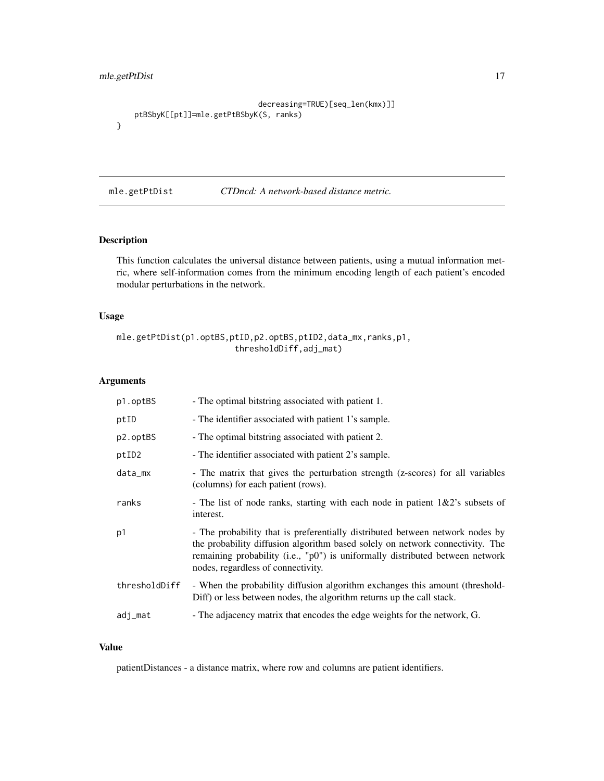#### <span id="page-16-0"></span>mle.getPtDist 17

```
decreasing=TRUE)[seq_len(kmx)]]
   ptBSbyK[[pt]]=mle.getPtBSbyK(S, ranks)
}
```
#### mle.getPtDist *CTDncd: A network-based distance metric.*

#### Description

This function calculates the universal distance between patients, using a mutual information metric, where self-information comes from the minimum encoding length of each patient's encoded modular perturbations in the network.

#### Usage

```
mle.getPtDist(p1.optBS,ptID,p2.optBS,ptID2,data_mx,ranks,p1,
                        thresholdDiff,adj_mat)
```
#### Arguments

| p1.optBS      | - The optimal bitstring associated with patient 1.                                                                                                                                                                                                                                    |
|---------------|---------------------------------------------------------------------------------------------------------------------------------------------------------------------------------------------------------------------------------------------------------------------------------------|
| ptID          | - The identifier associated with patient 1's sample.                                                                                                                                                                                                                                  |
| p2.optBS      | - The optimal bitstring associated with patient 2.                                                                                                                                                                                                                                    |
| ptID2         | - The identifier associated with patient 2's sample.                                                                                                                                                                                                                                  |
| data_mx       | - The matrix that gives the perturbation strength (z-scores) for all variables<br>(columns) for each patient (rows).                                                                                                                                                                  |
| ranks         | - The list of node ranks, starting with each node in patient $1\&2$ 's subsets of<br>interest.                                                                                                                                                                                        |
| p1            | - The probability that is preferentially distributed between network nodes by<br>the probability diffusion algorithm based solely on network connectivity. The<br>remaining probability (i.e., "p0") is uniformally distributed between network<br>nodes, regardless of connectivity. |
| thresholdDiff | - When the probability diffusion algorithm exchanges this amount (threshold-<br>Diff) or less between nodes, the algorithm returns up the call stack.                                                                                                                                 |
| adj_mat       | - The adjacency matrix that encodes the edge weights for the network, G.                                                                                                                                                                                                              |

#### Value

patientDistances - a distance matrix, where row and columns are patient identifiers.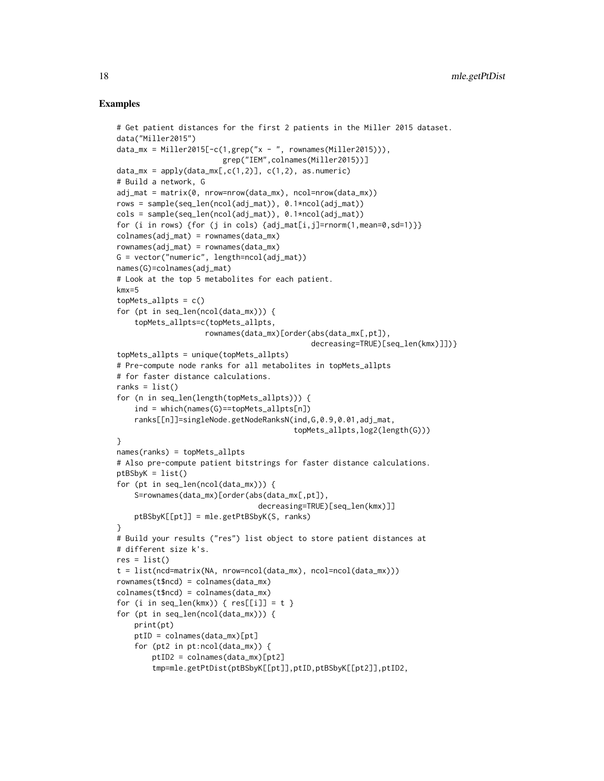```
# Get patient distances for the first 2 patients in the Miller 2015 dataset.
data("Miller2015")
data_mx = Miller2015[-c(1,grep("x - ", rownames(Miller2015))),
                        grep("IEM",colnames(Miller2015))]
data_m x = apply(data_m x[, c(1,2)], c(1,2), as.numeric)# Build a network, G
adj_mat = matrix(0, nrow=nrow(data_mx), ncol=nrow(data_mx))
rows = sample(seq_len(ncol(adj_mat)), 0.1*ncol(adj_mat))
cols = sample(seq_len(ncol(adj_mat)), 0.1*ncol(adj_mat))
for (i in rows) {for (j in cols) {adj\_mat[i,j]}=rnorm(1,mean=0,sd=1)}}
colnames(adj_mat) = rownames(data_mx)
rownames(adj_mat) = rownames(data_mx)
G = vector("numeric", length=ncol(adj_matrix))names(G)=colnames(adj_mat)
# Look at the top 5 metabolites for each patient.
kmx=5
topMets_allpts = c()for (pt in seq_len(ncol(data_mx))) {
    topMets_allpts=c(topMets_allpts,
                    rownames(data_mx)[order(abs(data_mx[,pt]),
                                            decreasing=TRUE)[seq_len(kmx)]])}
topMets_allpts = unique(topMets_allpts)
# Pre-compute node ranks for all metabolites in topMets_allpts
# for faster distance calculations.
ranks = list()for (n in seq_len(length(topMets_allpts))) {
    ind = which(names(G)==topMets_allpts[n])
    ranks[[n]]=singleNode.getNodeRanksN(ind,G,0.9,0.01,adj_mat,
                                        topMets_allpts,log2(length(G)))
}
names(ranks) = topMets_allpts
# Also pre-compute patient bitstrings for faster distance calculations.
ptBSbyK = list()
for (pt in seq_len(ncol(data_mx))) {
    S=rownames(data_mx)[order(abs(data_mx[,pt]),
                                decreasing=TRUE)[seq_len(kmx)]]
   ptBSbyK[[pt]] = mle.getPtBSbyK(S, ranks)
}
# Build your results ("res") list object to store patient distances at
# different size k's.
res = list()t = list(ncd=matrix(NA, nrow=ncol(data_mx), ncol=ncol(data_mx)))
rownames(t$ncd) = colnames(data_mx)
colnames(t$ncd) = colnames(data_mx)
for (i in seq_len(kmx)) { res[[i]] = t }
for (pt in seq_len(ncol(data_mx))) {
   print(pt)
   ptID = colnames(data_mx)[pt]
    for (pt2 in pt:ncol(data_mx)) {
       ptID2 = colnames(data_mx)[pt2]
        tmp=mle.getPtDist(ptBSbyK[[pt]],ptID,ptBSbyK[[pt2]],ptID2,
```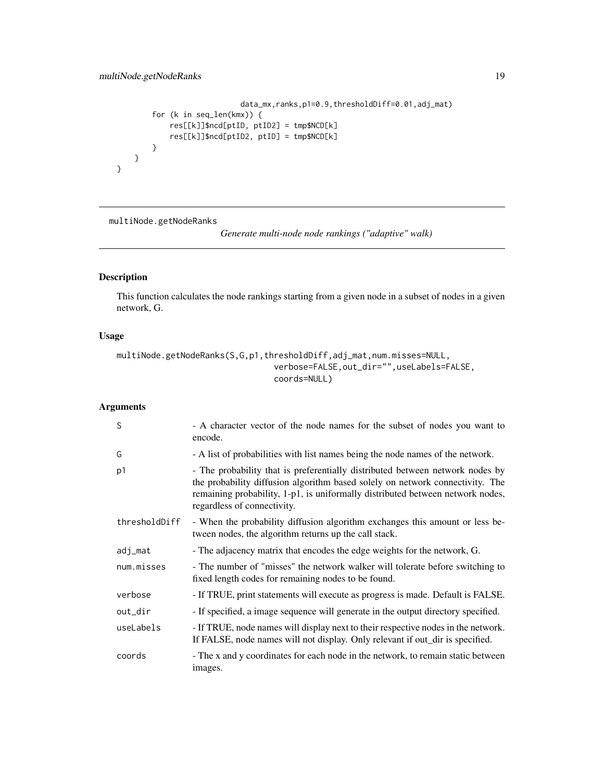```
data_mx,ranks,p1=0.9,thresholdDiff=0.01,adj_mat)
       for (k in seq_len(kmx)) {
            res[[k]]$ncd[ptID, ptID2] = tmp$NCD[k]
            res[[k]]$ncd[ptID2, ptID] = tmp$NCD[k]
       }
   }
}
```
multiNode.getNodeRanks

*Generate multi-node node rankings ("adaptive" walk)*

#### Description

This function calculates the node rankings starting from a given node in a subset of nodes in a given network, G.

#### Usage

```
multiNode.getNodeRanks(S,G,p1,thresholdDiff,adj_mat,num.misses=NULL,
                                verbose=FALSE,out_dir="",useLabels=FALSE,
                                coords=NULL)
```
#### Arguments

| S              | - A character vector of the node names for the subset of nodes you want to<br>encode.                                                                                                                                                                                           |
|----------------|---------------------------------------------------------------------------------------------------------------------------------------------------------------------------------------------------------------------------------------------------------------------------------|
| G              | - A list of probabilities with list names being the node names of the network.                                                                                                                                                                                                  |
| p <sub>1</sub> | - The probability that is preferentially distributed between network nodes by<br>the probability diffusion algorithm based solely on network connectivity. The<br>remaining probability, 1-p1, is uniformally distributed between network nodes,<br>regardless of connectivity. |
| thresholdDiff  | - When the probability diffusion algorithm exchanges this amount or less be-<br>tween nodes, the algorithm returns up the call stack.                                                                                                                                           |
| adj_mat        | - The adjacency matrix that encodes the edge weights for the network, G.                                                                                                                                                                                                        |
| num.misses     | - The number of "misses" the network walker will tolerate before switching to<br>fixed length codes for remaining nodes to be found.                                                                                                                                            |
| verbose        | - If TRUE, print statements will execute as progress is made. Default is FALSE.                                                                                                                                                                                                 |
| out_dir        | - If specified, a image sequence will generate in the output directory specified.                                                                                                                                                                                               |
| useLabels      | - If TRUE, node names will display next to their respective nodes in the network.<br>If FALSE, node names will not display. Only relevant if out_dir is specified.                                                                                                              |
| coords         | - The x and y coordinates for each node in the network, to remain static between<br>images.                                                                                                                                                                                     |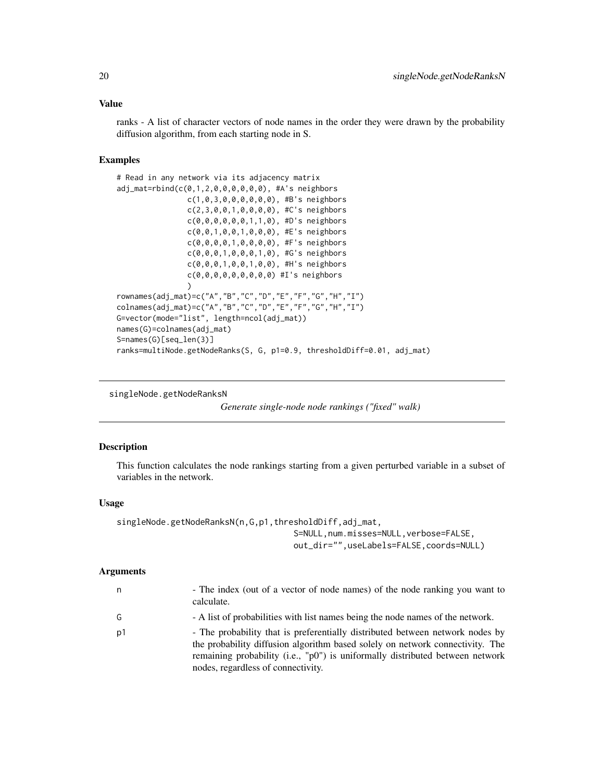#### <span id="page-19-0"></span>Value

ranks - A list of character vectors of node names in the order they were drawn by the probability diffusion algorithm, from each starting node in S.

#### Examples

```
# Read in any network via its adjacency matrix
adj_mat=rbind(c(0,1,2,0,0,0,0,0,0), #A's neighbors
                c(1,0,3,0,0,0,0,0,0), #B's neighbors
                c(2,3,0,0,1,0,0,0,0), #C's neighbors
                c(0,0,0,0,0,0,1,1,0), #D's neighbors
                c(0,0,1,0,0,1,0,0,0), #E's neighbors
                c(0,0,0,0,1,0,0,0,0), #F's neighbors
                c(0,0,0,1,0,0,0,1,0), #G's neighbors
                c(0,0,0,1,0,0,1,0,0), #H's neighbors
                c(0,0,0,0,0,0,0,0,0) #I's neighbors
                )
rownames(adj_mat)=c("A","B","C","D","E","F","G","H","I")
colnames(adj_mat)=c("A","B","C","D","E","F","G","H","I")
G=vector(mode="list", length=ncol(adj_mat))
names(G)=colnames(adj_mat)
S=names(G)[seq_len(3)]
ranks=multiNode.getNodeRanks(S, G, p1=0.9, thresholdDiff=0.01, adj_mat)
```
singleNode.getNodeRanksN

*Generate single-node node rankings ("fixed" walk)*

#### **Description**

This function calculates the node rankings starting from a given perturbed variable in a subset of variables in the network.

#### Usage

```
singleNode.getNodeRanksN(n,G,p1,thresholdDiff,adj_mat,
                                    S=NULL,num.misses=NULL,verbose=FALSE,
                                    out_dir="",useLabels=FALSE,coords=NULL)
```
#### Arguments

| n  | - The index (out of a vector of node names) of the node ranking you want to<br>calculate.                                                                                                                                                                                             |
|----|---------------------------------------------------------------------------------------------------------------------------------------------------------------------------------------------------------------------------------------------------------------------------------------|
| G  | - A list of probabilities with list names being the node names of the network.                                                                                                                                                                                                        |
| p1 | - The probability that is preferentially distributed between network nodes by<br>the probability diffusion algorithm based solely on network connectivity. The<br>remaining probability (i.e., "p0") is uniformally distributed between network<br>nodes, regardless of connectivity. |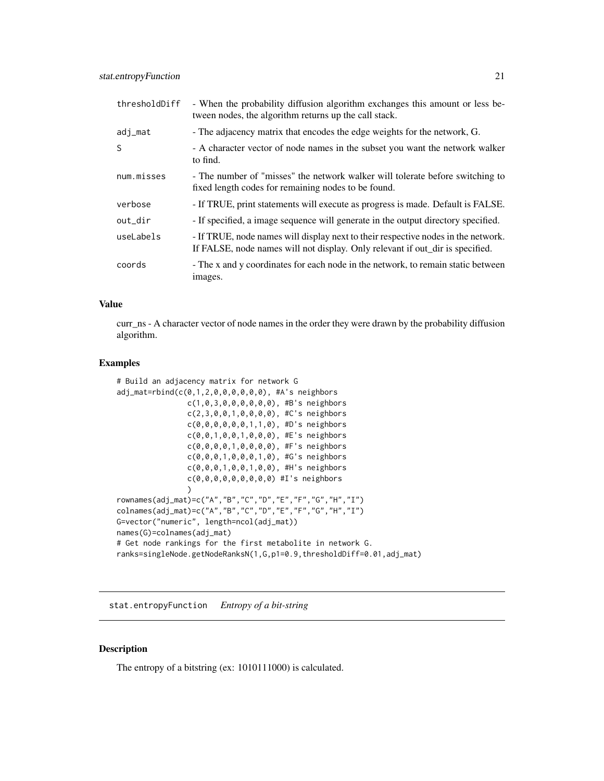<span id="page-20-0"></span>

| thresholdDiff | - When the probability diffusion algorithm exchanges this amount or less be-<br>tween nodes, the algorithm returns up the call stack.                              |
|---------------|--------------------------------------------------------------------------------------------------------------------------------------------------------------------|
| adj_mat       | - The adjacency matrix that encodes the edge weights for the network, G.                                                                                           |
| S             | - A character vector of node names in the subset you want the network walker<br>to find.                                                                           |
| num.misses    | - The number of "misses" the network walker will tolerate before switching to<br>fixed length codes for remaining nodes to be found.                               |
| verbose       | - If TRUE, print statements will execute as progress is made. Default is FALSE.                                                                                    |
| out_dir       | - If specified, a image sequence will generate in the output directory specified.                                                                                  |
| useLabels     | - If TRUE, node names will display next to their respective nodes in the network.<br>If FALSE, node names will not display. Only relevant if out dir is specified. |
| coords        | - The x and y coordinates for each node in the network, to remain static between<br>images.                                                                        |

#### Value

curr\_ns - A character vector of node names in the order they were drawn by the probability diffusion algorithm.

#### Examples

```
# Build an adjacency matrix for network G
adj_mat=rbind(c(0,1,2,0,0,0,0,0,0), #A's neighbors
                c(1,0,3,0,0,0,0,0,0), #B's neighbors
                c(2,3,0,0,1,0,0,0,0), #C's neighbors
                c(0,0,0,0,0,0,1,1,0), #D's neighbors
                c(0,0,1,0,0,1,0,0,0), #E's neighbors
                c(0,0,0,0,1,0,0,0,0), #F's neighbors
                c(0,0,0,1,0,0,0,1,0), #G's neighbors
                c(0,0,0,1,0,0,1,0,0), #H's neighbors
                c(0,0,0,0,0,0,0,0,0) #I's neighbors
                \lambdarownames(adj_mat)=c("A","B","C","D","E","F","G","H","I")
colnames(adj_mat)=c("A","B","C","D","E","F","G","H","I")
G=vector("numeric", length=ncol(adj_mat))
names(G)=colnames(adj_mat)
# Get node rankings for the first metabolite in network G.
ranks=singleNode.getNodeRanksN(1,G,p1=0.9,thresholdDiff=0.01,adj_mat)
```
stat.entropyFunction *Entropy of a bit-string*

#### Description

The entropy of a bitstring (ex: 1010111000) is calculated.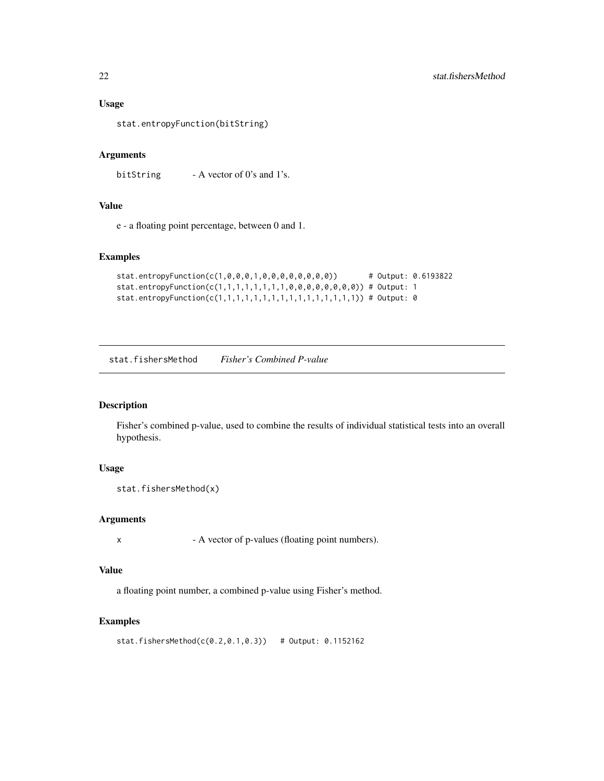#### Usage

stat.entropyFunction(bitString)

#### Arguments

bitString  $- A$  vector of 0's and 1's.

#### Value

e - a floating point percentage, between 0 and 1.

#### Examples

```
stat.entropyFunction(c(1,0,0,0,1,0,0,0,0,0,0,0,0)) # Output: 0.6193822
stat.entropyFunction(c(1,1,1,1,1,1,1,1,0,0,0,0,0,0,0,0)) # Output: 1
stat.entropyFunction(c(1,1,1,1,1,1,1,1,1,1,1,1,1,1,1,1)) # Output: 0
```
stat.fishersMethod *Fisher's Combined P-value*

#### Description

Fisher's combined p-value, used to combine the results of individual statistical tests into an overall hypothesis.

#### Usage

```
stat.fishersMethod(x)
```
#### Arguments

x - A vector of p-values (floating point numbers).

#### Value

a floating point number, a combined p-value using Fisher's method.

#### Examples

stat.fishersMethod(c(0.2,0.1,0.3)) # Output: 0.1152162

<span id="page-21-0"></span>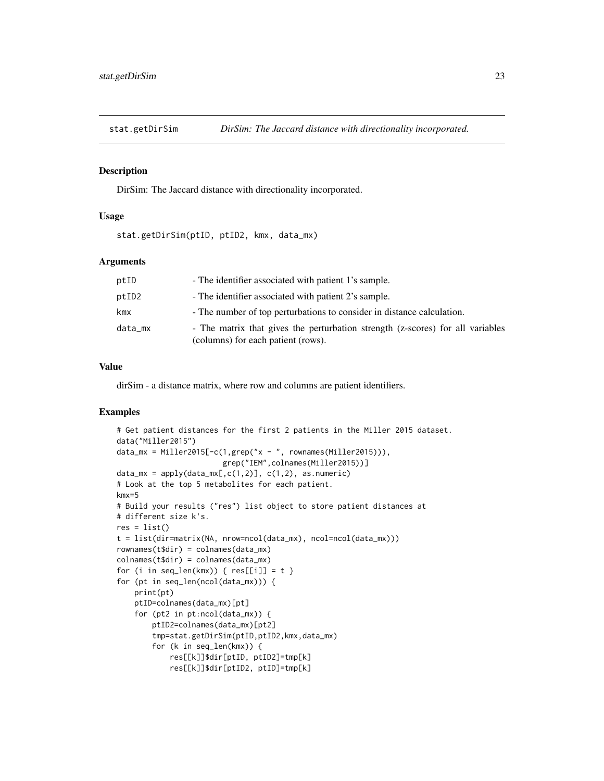<span id="page-22-0"></span>

#### Description

DirSim: The Jaccard distance with directionality incorporated.

### Usage

stat.getDirSim(ptID, ptID2, kmx, data\_mx)

#### **Arguments**

| ptID    | - The identifier associated with patient 1's sample.                                                                 |
|---------|----------------------------------------------------------------------------------------------------------------------|
| ptID2   | - The identifier associated with patient 2's sample.                                                                 |
| kmx     | - The number of top perturbations to consider in distance calculation.                                               |
| data_mx | - The matrix that gives the perturbation strength (z-scores) for all variables<br>(columns) for each patient (rows). |

#### Value

dirSim - a distance matrix, where row and columns are patient identifiers.

```
# Get patient distances for the first 2 patients in the Miller 2015 dataset.
data("Miller2015")
data_mx = Miller2015[-c(1,grep("x - ", rownames(Miller2015))),
                        grep("IEM",colnames(Miller2015))]
data_mx = apply(data_mx[, c(1,2)], c(1,2), as.numeric)# Look at the top 5 metabolites for each patient.
kmx=5
# Build your results ("res") list object to store patient distances at
# different size k's.
res = list()t = list(dir=matrix(NA, nrow=ncol(data_mx), ncol=ncol(data_mx)))
rownames(t$dir) = colnames(data_mx)
colnames(t$dir) = colnames(data_mx)
for (i in seq_len(kmx)) { res[[i]] = t }
for (pt in seq_len(ncol(data_mx))) {
   print(pt)
   ptID=colnames(data_mx)[pt]
    for (pt2 in pt:ncol(data_mx)) {
       ptID2=colnames(data_mx)[pt2]
       tmp=stat.getDirSim(ptID,ptID2,kmx,data_mx)
       for (k in seq_len(kmx)) {
            res[[k]]$dir[ptID, ptID2]=tmp[k]
            res[[k]]$dir[ptID2, ptID]=tmp[k]
```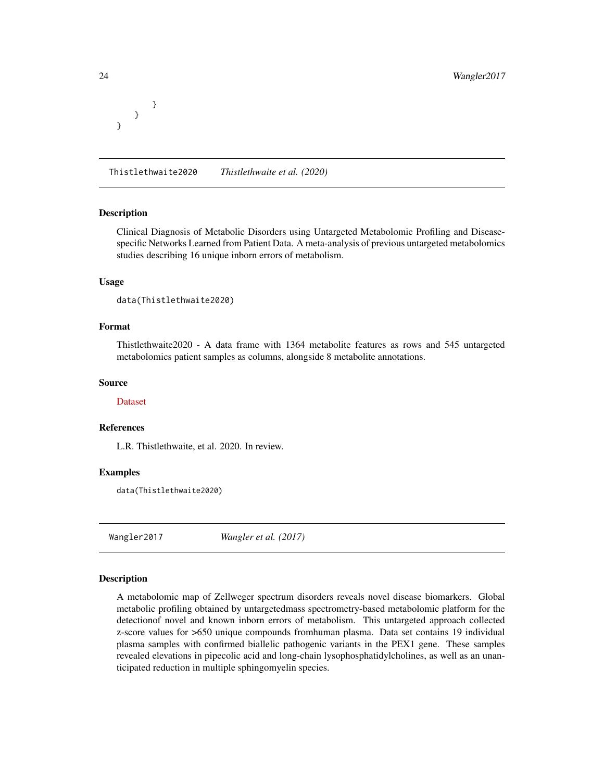} }

}

Thistlethwaite2020 *Thistlethwaite et al. (2020)*

#### Description

Clinical Diagnosis of Metabolic Disorders using Untargeted Metabolomic Profiling and Diseasespecific Networks Learned from Patient Data. A meta-analysis of previous untargeted metabolomics studies describing 16 unique inborn errors of metabolism.

#### Usage

data(Thistlethwaite2020)

#### Format

Thistlethwaite2020 - A data frame with 1364 metabolite features as rows and 545 untargeted metabolomics patient samples as columns, alongside 8 metabolite annotations.

#### Source

#### [Dataset](https://genboree.org/Metabolomics-Data-Portal/)

#### References

L.R. Thistlethwaite, et al. 2020. In review.

#### Examples

data(Thistlethwaite2020)

Wangler2017 *Wangler et al. (2017)*

#### **Description**

A metabolomic map of Zellweger spectrum disorders reveals novel disease biomarkers. Global metabolic profiling obtained by untargetedmass spectrometry-based metabolomic platform for the detectionof novel and known inborn errors of metabolism. This untargeted approach collected z-score values for >650 unique compounds fromhuman plasma. Data set contains 19 individual plasma samples with confirmed biallelic pathogenic variants in the PEX1 gene. These samples revealed elevations in pipecolic acid and long-chain lysophosphatidylcholines, as well as an unanticipated reduction in multiple sphingomyelin species.

<span id="page-23-0"></span>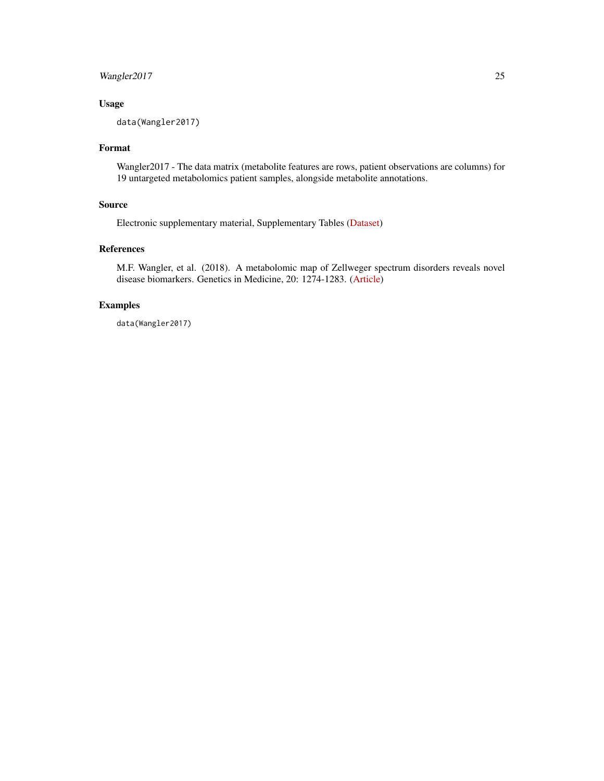#### Wangler2017 25

#### Usage

data(Wangler2017)

#### Format

Wangler2017 - The data matrix (metabolite features are rows, patient observations are columns) for 19 untargeted metabolomics patient samples, alongside metabolite annotations.

#### Source

Electronic supplementary material, Supplementary Tables [\(Dataset\)](https://tinyurl.com/y4zus9l2)

#### References

M.F. Wangler, et al. (2018). A metabolomic map of Zellweger spectrum disorders reveals novel disease biomarkers. Genetics in Medicine, 20: 1274-1283. [\(Article\)](https://doi.org/10.1038/gim.2017.262)

#### Examples

data(Wangler2017)